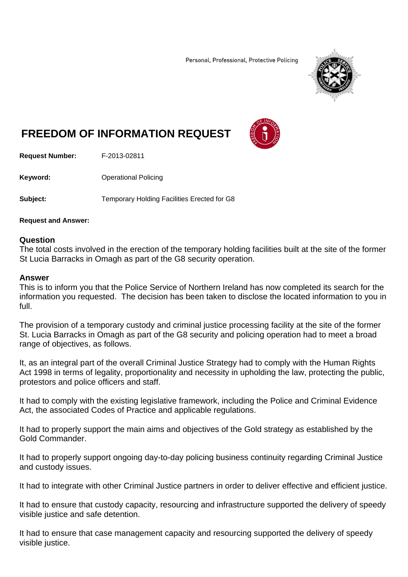Personal, Professional, Protective Policing



## **FREEDOM OF INFORMATION REQUEST**



**Request Number:** F-2013-02811

**Keyword: C**Derational Policing

**Subject:** Temporary Holding Facilities Erected for G8

## **Request and Answer:**

## **Question**

The total costs involved in the erection of the temporary holding facilities built at the site of the former St Lucia Barracks in Omagh as part of the G8 security operation.

## **Answer**

This is to inform you that the Police Service of Northern Ireland has now completed its search for the information you requested. The decision has been taken to disclose the located information to you in full.

The provision of a temporary custody and criminal justice processing facility at the site of the former St. Lucia Barracks in Omagh as part of the G8 security and policing operation had to meet a broad range of objectives, as follows.

It, as an integral part of the overall Criminal Justice Strategy had to comply with the Human Rights Act 1998 in terms of legality, proportionality and necessity in upholding the law, protecting the public, protestors and police officers and staff.

It had to comply with the existing legislative framework, including the Police and Criminal Evidence Act, the associated Codes of Practice and applicable regulations.

It had to properly support the main aims and objectives of the Gold strategy as established by the Gold Commander.

It had to properly support ongoing day-to-day policing business continuity regarding Criminal Justice and custody issues.

It had to integrate with other Criminal Justice partners in order to deliver effective and efficient justice.

It had to ensure that custody capacity, resourcing and infrastructure supported the delivery of speedy visible justice and safe detention.

It had to ensure that case management capacity and resourcing supported the delivery of speedy visible justice.